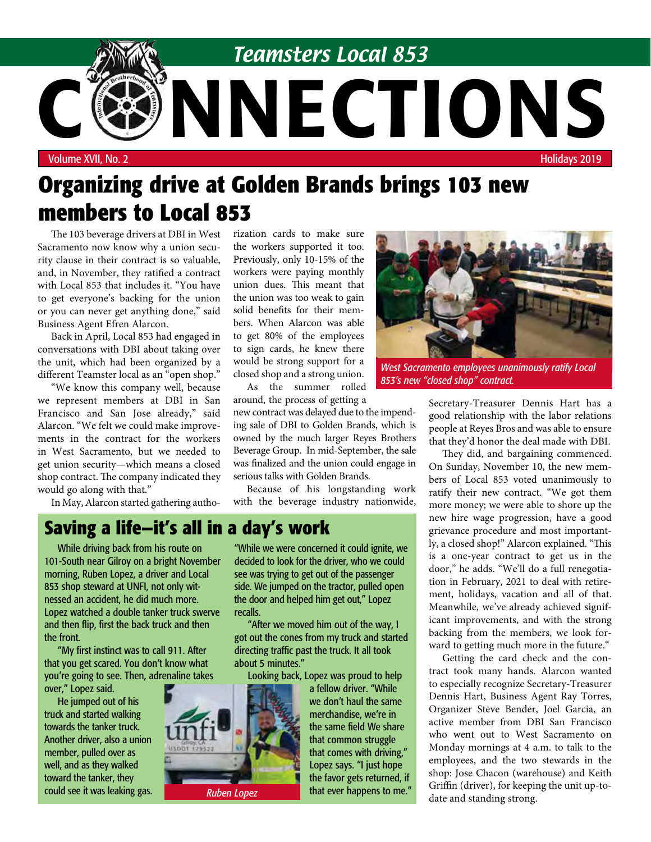

# **Organizing drive at Golden Brands brings 103 new members to Local 853**

The 103 beverage drivers at DBI in West Sacramento now know why a union security clause in their contract is so valuable, and, in November, they ratified a contract with Local 853 that includes it. "You have to get everyone's backing for the union or you can never get anything done," said Business Agent Efren Alarcon.

Back in April, Local 853 had engaged in conversations with DBI about taking over the unit, which had been organized by a different Teamster local as an "open shop."

"We know this company well, because we represent members at DBI in San Francisco and San Jose already," said Alarcon. "We felt we could make improvements in the contract for the workers in West Sacramento, but we needed to get union security—which means a closed shop contract. The company indicated they would go along with that."

In May, Alarcon started gathering autho-

rization cards to make sure the workers supported it too. Previously, only 10-15% of the workers were paying monthly union dues. This meant that the union was too weak to gain solid benefits for their members. When Alarcon was able to get 80% of the employees to sign cards, he knew there would be strong support for a closed shop and a strong union.

As the summer rolled around, the process of getting a

new contract was delayed due to the impending sale of DBI to Golden Brands, which is owned by the much larger Reyes Brothers Beverage Group. In mid-September, the sale was finalized and the union could engage in serious talks with Golden Brands.

Because of his longstanding work with the beverage industry nationwide,

## **Saving a life—it's all in a day's work**

While driving back from his route on 101-South near Gilroy on a bright November morning, Ruben Lopez, a driver and Local 853 shop steward at UNFI, not only witnessed an accident, he did much more. Lopez watched a double tanker truck swerve and then flip, first the back truck and then the front.

"My first instinct was to call 911. After that you get scared. You don't know what you're going to see. Then, adrenaline takes over," Lopez said.

He jumped out of his truck and started walking towards the tanker truck. Another driver, also a union member, pulled over as well, and as they walked toward the tanker, they could see it was leaking gas. "While we were concerned it could ignite, we decided to look for the driver, who we could see was trying to get out of the passenger side. We jumped on the tractor, pulled open the door and helped him get out," Lopez recalls.

"After we moved him out of the way, I got out the cones from my truck and started directing traffic past the truck. It all took about 5 minutes."

Looking back, Lopez was proud to help



a fellow driver. "While we don't haul the same merchandise, we're in the same field We share that common struggle that comes with driving," Lopez says. "I just hope the favor gets returned, if **Ruben Lopez That ever happens to me.**"



*West Sacramento employees unanimously ratify Local 853's new "closed shop" contract.*

Secretary-Treasurer Dennis Hart has a good relationship with the labor relations people at Reyes Bros and was able to ensure that they'd honor the deal made with DBI.

They did, and bargaining commenced. On Sunday, November 10, the new members of Local 853 voted unanimously to ratify their new contract. "We got them more money; we were able to shore up the new hire wage progression, have a good grievance procedure and most importantly, a closed shop!" Alarcon explained. "This is a one-year contract to get us in the door," he adds. "We'll do a full renegotiation in February, 2021 to deal with retirement, holidays, vacation and all of that. Meanwhile, we've already achieved significant improvements, and with the strong backing from the members, we look forward to getting much more in the future."

Getting the card check and the contract took many hands. Alarcon wanted to especially recognize Secretary-Treasurer Dennis Hart, Business Agent Ray Torres, Organizer Steve Bender, Joel Garcia, an active member from DBI San Francisco who went out to West Sacramento on Monday mornings at 4 a.m. to talk to the employees, and the two stewards in the shop: Jose Chacon (warehouse) and Keith Griffin (driver), for keeping the unit up-todate and standing strong.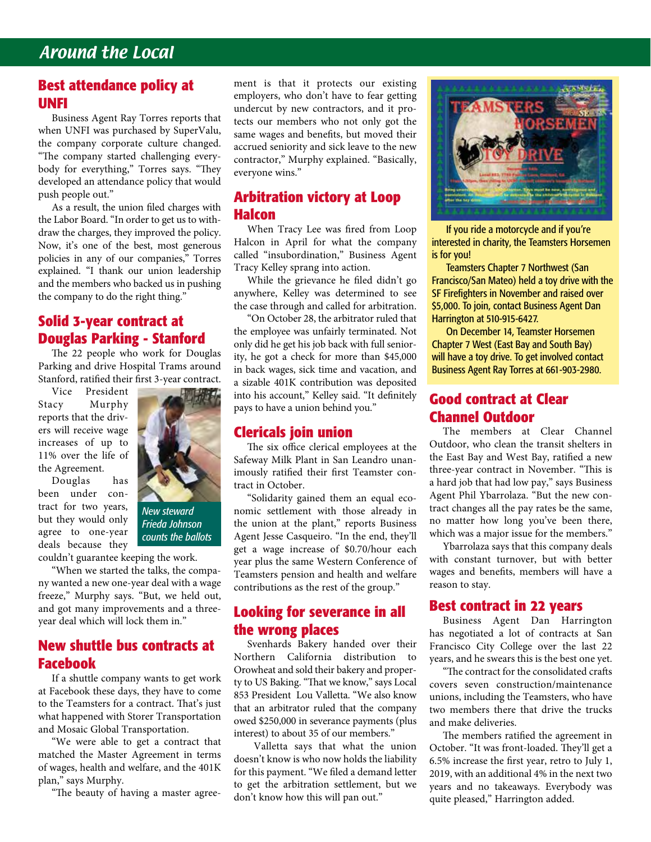### Around the Local

#### **Best attendance policy at UNFI**

Business Agent Ray Torres reports that when UNFI was purchased by SuperValu, the company corporate culture changed. "The company started challenging everybody for everything," Torres says. "They developed an attendance policy that would push people out."

As a result, the union filed charges with the Labor Board. "In order to get us to withdraw the charges, they improved the policy. Now, it's one of the best, most generous policies in any of our companies," Torres explained. "I thank our union leadership and the members who backed us in pushing the company to do the right thing."

#### **Solid 3-year contract at Douglas Parking - Stanford**

The 22 people who work for Douglas Parking and drive Hospital Trams around Stanford, ratified their first 3-year contract.

Vice President Stacy Murphy reports that the drivers will receive wage increases of up to 11% over the life of the Agreement.

Douglas has been under contract for two years, but they would only agree to one-year deals because they



*New steward Frieda Johnson counts the ballots* 

couldn't guarantee keeping the work.

"When we started the talks, the company wanted a new one-year deal with a wage freeze," Murphy says. "But, we held out, and got many improvements and a threeyear deal which will lock them in."

#### **New shuttle bus contracts at Facebook**

If a shuttle company wants to get work at Facebook these days, they have to come to the Teamsters for a contract. That's just what happened with Storer Transportation and Mosaic Global Transportation.

"We were able to get a contract that matched the Master Agreement in terms of wages, health and welfare, and the 401K plan," says Murphy.

"The beauty of having a master agree-

ment is that it protects our existing employers, who don't have to fear getting undercut by new contractors, and it protects our members who not only got the same wages and benefits, but moved their accrued seniority and sick leave to the new contractor," Murphy explained. "Basically, everyone wins."

#### **Arbitration victory at Loop Halcon**

When Tracy Lee was fired from Loop Halcon in April for what the company called "insubordination," Business Agent Tracy Kelley sprang into action.

While the grievance he filed didn't go anywhere, Kelley was determined to see the case through and called for arbitration.

"On October 28, the arbitrator ruled that the employee was unfairly terminated. Not only did he get his job back with full seniority, he got a check for more than \$45,000 in back wages, sick time and vacation, and a sizable 401K contribution was deposited into his account," Kelley said. "It definitely pays to have a union behind you."

#### **Clericals join union**

The six office clerical employees at the Safeway Milk Plant in San Leandro unanimously ratified their first Teamster contract in October.

"Solidarity gained them an equal economic settlement with those already in the union at the plant," reports Business Agent Jesse Casqueiro. "In the end, they'll get a wage increase of \$0.70/hour each year plus the same Western Conference of Teamsters pension and health and welfare contributions as the rest of the group."

#### **Looking for severance in all the wrong places**

Svenhards Bakery handed over their Northern California distribution to Orowheat and sold their bakery and property to US Baking. "That we know," says Local 853 President Lou Valletta. "We also know that an arbitrator ruled that the company owed \$250,000 in severance payments (plus interest) to about 35 of our members."

 Valletta says that what the union doesn't know is who now holds the liability for this payment. "We filed a demand letter to get the arbitration settlement, but we don't know how this will pan out."



If you ride a motorcycle and if you're interested in charity, the Teamsters Horsemen is for you!

Teamsters Chapter 7 Northwest (San Francisco/San Mateo) held a toy drive with the SF Firefighters in November and raised over \$5,000. To join, contact Business Agent Dan Harrington at 510-915-6427.

On December 14, Teamster Horsemen Chapter 7 West (East Bay and South Bay) will have a toy drive. To get involved contact Business Agent Ray Torres at 661-903-2980.

#### **Good contract at Clear Channel Outdoor**

The members at Clear Channel Outdoor, who clean the transit shelters in the East Bay and West Bay, ratified a new three-year contract in November. "This is a hard job that had low pay," says Business Agent Phil Ybarrolaza. "But the new contract changes all the pay rates be the same, no matter how long you've been there, which was a major issue for the members."

Ybarrolaza says that this company deals with constant turnover, but with better wages and benefits, members will have a reason to stay.

#### **Best contract in 22 years**

Business Agent Dan Harrington has negotiated a lot of contracts at San Francisco City College over the last 22 years, and he swears this is the best one yet.

"The contract for the consolidated crafts covers seven construction/maintenance unions, including the Teamsters, who have two members there that drive the trucks and make deliveries.

The members ratified the agreement in October. "It was front-loaded. They'll get a 6.5% increase the first year, retro to July 1, 2019, with an additional 4% in the next two years and no takeaways. Everybody was quite pleased," Harrington added.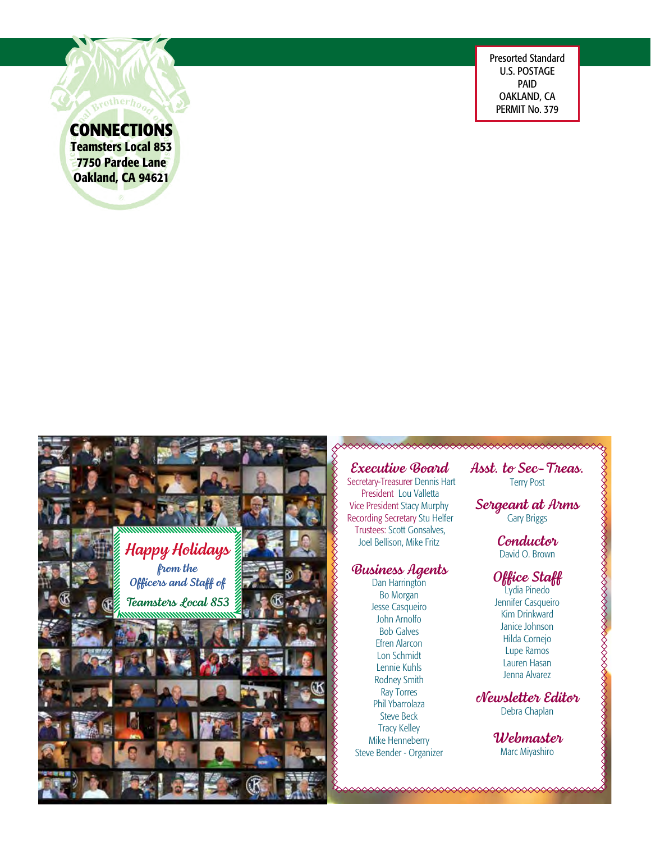Presorted Standard U.S. POSTAGE PAID OAKLAND, CA PERMIT No. 379

#### **CONNECTIONS** Teamsters Local 853

7750 Pardee Lane Oakland, CA 94621

> *Executive Board* Secretary-Treasurer Dennis Hart President Lou Valletta Vice President Stacy Murphy Recording Secretary Stu Helfer Trustees: Scott Gonsalves,

# *Business Agents*<br>Dan Harrington

Joel Bellison, Mike Fritz

Bo Morgan Jesse Casqueiro John Arnolfo Bob Galves Efren Alarcon Lon Schmidt Lennie Kuhls Rodney Smith Ray Torres Phil Ybarrolaza Steve Beck Tracy Kelley Mike Henneberry Steve Bender - Organizer *Asst. to Sec-Treas.* Terry Post

*Sergeant at Arms* Gary Briggs

> *Conductor* David O. Brown

#### *Office Staff*

Lydia Pinedo Jennifer Casqueiro Kim Drinkward Janice Johnson Hilda Cornejo Lupe Ramos Lauren Hasan Jenna Alvarez

*Newsletter Editor* Debra Chaplan

> *Webmaster* Marc Miyashiro

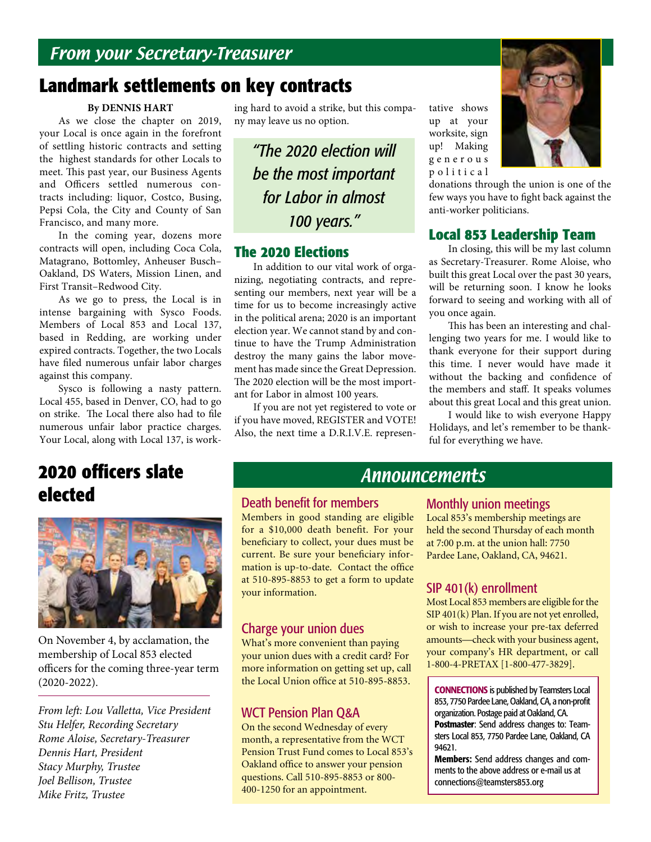# **Landmark settlements on key contracts**

#### **By DENNIS HART**

As we close the chapter on 2019, your Local is once again in the forefront of settling historic contracts and setting the highest standards for other Locals to meet. This past year, our Business Agents and Officers settled numerous contracts including: liquor, Costco, Busing, Pepsi Cola, the City and County of San Francisco, and many more.

In the coming year, dozens more contracts will open, including Coca Cola, Matagrano, Bottomley, Anheuser Busch– Oakland, DS Waters, Mission Linen, and First Transit–Redwood City.

As we go to press, the Local is in intense bargaining with Sysco Foods. Members of Local 853 and Local 137, based in Redding, are working under expired contracts. Together, the two Locals have filed numerous unfair labor charges against this company.

Sysco is following a nasty pattern. Local 455, based in Denver, CO, had to go on strike. The Local there also had to file numerous unfair labor practice charges. Your Local, along with Local 137, is work-

# **2020 officers slate elected**



On November 4, by acclamation, the membership of Local 853 elected officers for the coming three-year term (2020-2022).

*From left: Lou Valletta, Vice President Stu Helfer, Recording Secretary Rome Aloise, Secretary-Treasurer Dennis Hart, President Stacy Murphy, Trustee Joel Bellison, Trustee Mike Fritz, Trustee*

ing hard to avoid a strike, but this company may leave us no option.

*"The 2020 election will be the most important for Labor in almost 100 years."*

#### **The 2020 Elections**

In addition to our vital work of organizing, negotiating contracts, and representing our members, next year will be a time for us to become increasingly active in the political arena; 2020 is an important election year. We cannot stand by and continue to have the Trump Administration destroy the many gains the labor movement has made since the Great Depression. The 2020 election will be the most important for Labor in almost 100 years.

If you are not yet registered to vote or if you have moved, REGISTER and VOTE! Also, the next time a D.R.I.V.E. representative shows up at your worksite, sign up! Making g e n e r o u s p o l i t i c a l



donations through the union is one of the few ways you have to fight back against the anti-worker politicians.

#### **Local 853 Leadership Team**

In closing, this will be my last column as Secretary-Treasurer. Rome Aloise, who built this great Local over the past 30 years, will be returning soon. I know he looks forward to seeing and working with all of you once again.

This has been an interesting and challenging two years for me. I would like to thank everyone for their support during this time. I never would have made it without the backing and confidence of the members and staff. It speaks volumes about this great Local and this great union.

I would like to wish everyone Happy Holidays, and let's remember to be thankful for everything we have.

### Announcements

#### Death benefit for members

Members in good standing are eligible for a \$10,000 death benefit. For your beneficiary to collect, your dues must be current. Be sure your beneficiary information is up-to-date. Contact the office at 510-895-8853 to get a form to update your information.

#### Charge your union dues

What's more convenient than paying your union dues with a credit card? For more information on getting set up, call the Local Union office at 510-895-8853.

#### WCT Pension Plan Q&A

On the second Wednesday of every month, a representative from the WCT Pension Trust Fund comes to Local 853's Oakland office to answer your pension questions. Call 510-895-8853 or 800- 400-1250 for an appointment.

#### Monthly union meetings

Local 853's membership meetings are held the second Thursday of each month at 7:00 p.m. at the union hall: 7750 Pardee Lane, Oakland, CA, 94621.

#### SIP 401(k) enrollment

Most Local 853 members are eligible for the SIP 401(k) Plan. If you are not yet enrolled, or wish to increase your pre-tax deferred amounts—check with your business agent, your company's HR department, or call 1-800-4-PRETAX [1-800-477-3829].

CONNECTIONS is published by Teamsters Local 853, 7750 Pardee Lane, Oakland, CA, a non-profit organization. Postage paid at Oakland, CA. Postmaster: Send address changes to: Teamsters Local 853, 7750 Pardee Lane, Oakland, CA 94621.

Members: Send address changes and comments to the above address or e-mail us at connections@teamsters853.org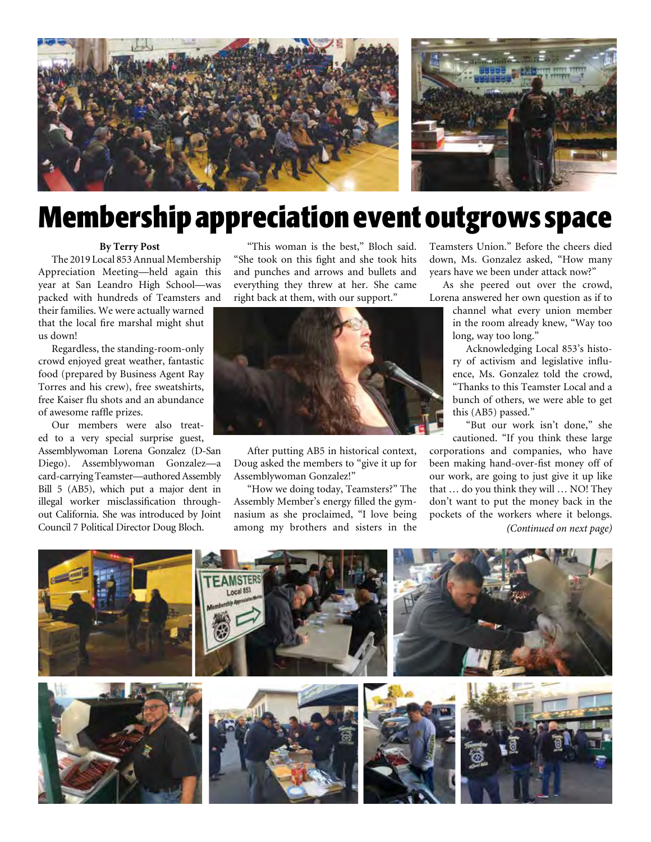

# **Membership appreciation event outgrows space**

#### **By Terry Post**

The 2019 Local 853 Annual Membership Appreciation Meeting—held again this year at San Leandro High School—was packed with hundreds of Teamsters and

their families. We were actually warned that the local fire marshal might shut us down!

Regardless, the standing-room-only crowd enjoyed great weather, fantastic food (prepared by Business Agent Ray Torres and his crew), free sweatshirts, free Kaiser flu shots and an abundance of awesome raffle prizes.

Our members were also treated to a very special surprise guest,

Assemblywoman Lorena Gonzalez (D-San Diego). Assemblywoman Gonzalez—a card-carrying Teamster—authored Assembly Bill 5 (AB5), which put a major dent in illegal worker misclassification throughout California. She was introduced by Joint Council 7 Political Director Doug Bloch.

"This woman is the best," Bloch said. "She took on this fight and she took hits and punches and arrows and bullets and everything they threw at her. She came right back at them, with our support."



After putting AB5 in historical context, Doug asked the members to "give it up for Assemblywoman Gonzalez!"

"How we doing today, Teamsters?" The Assembly Member's energy filled the gymnasium as she proclaimed, "I love being among my brothers and sisters in the Teamsters Union." Before the cheers died down, Ms. Gonzalez asked, "How many years have we been under attack now?"

As she peered out over the crowd, Lorena answered her own question as if to

> channel what every union member in the room already knew, "Way too long, way too long."

> Acknowledging Local 853's history of activism and legislative influence, Ms. Gonzalez told the crowd, "Thanks to this Teamster Local and a bunch of others, we were able to get this (AB5) passed."

> "But our work isn't done," she cautioned. "If you think these large

corporations and companies, who have been making hand-over-fist money off of our work, are going to just give it up like that … do you think they will … NO! They don't want to put the money back in the pockets of the workers where it belongs. *(Continued on next page)*